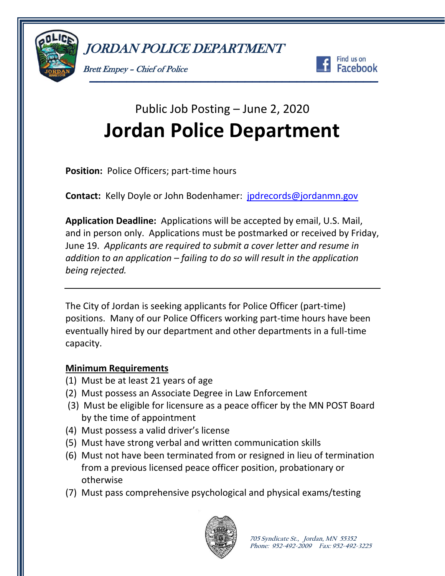





# Public Job Posting – June 2, 2020 **Jordan Police Department**

**Position:** Police Officers; part-time hours

**Contact:** Kelly Doyle or John Bodenhamer: [jpdrecords@jordanmn.gov](mailto:jpdrecords@jordanmn.gov)

**Application Deadline:** Applications will be accepted by email, U.S. Mail, and in person only. Applications must be postmarked or received by Friday, June 19. *Applicants are required to submit a cover letter and resume in addition to an application – failing to do so will result in the application being rejected.*

The City of Jordan is seeking applicants for Police Officer (part-time) positions. Many of our Police Officers working part-time hours have been eventually hired by our department and other departments in a full-time capacity.

# **Minimum Requirements**

- (1) Must be at least 21 years of age
- (2) Must possess an Associate Degree in Law Enforcement
- (3) Must be eligible for licensure as a peace officer by the MN POST Board by the time of appointment
- (4) Must possess a valid driver's license
- (5) Must have strong verbal and written communication skills
- (6) Must not have been terminated from or resigned in lieu of termination from a previous licensed peace officer position, probationary or otherwise
- (7) Must pass comprehensive psychological and physical exams/testing

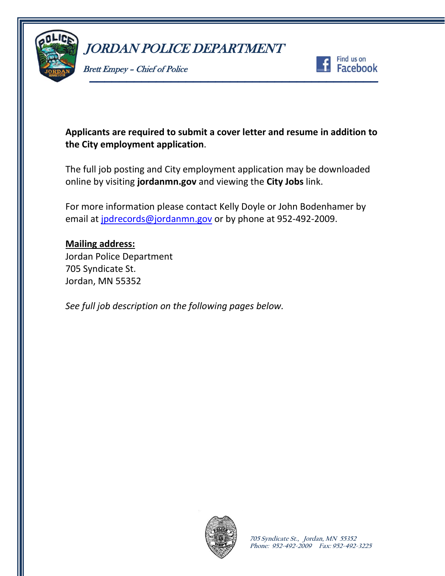

Brett Empey – Chief of Police



# **Applicants are required to submit a cover letter and resume in addition to the City employment application**.

The full job posting and City employment application may be downloaded online by visiting **jordanmn.gov** and viewing the **City Jobs** link.

For more information please contact Kelly Doyle or John Bodenhamer by email at [jpdrecords@jordanmn.gov](mailto:jpdrecords@jordanmn.gov) or by phone at 952-492-2009.

### **Mailing address:**

Jordan Police Department 705 Syndicate St. Jordan, MN 55352

*See full job description on the following pages below.*

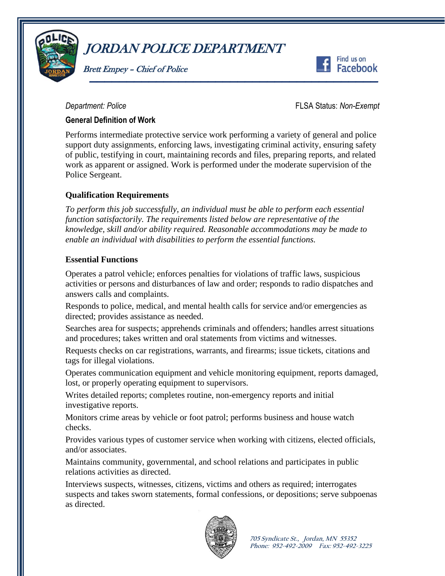

Brett Empey – Chief of Police



*Department: Police* FLSA Status: *Non-Exempt*

#### **General Definition of Work**

Performs intermediate protective service work performing a variety of general and police support duty assignments, enforcing laws, investigating criminal activity, ensuring safety of public, testifying in court, maintaining records and files, preparing reports, and related work as apparent or assigned. Work is performed under the moderate supervision of the Police Sergeant.

## **Qualification Requirements**

*To perform this job successfully, an individual must be able to perform each essential function satisfactorily. The requirements listed below are representative of the knowledge, skill and/or ability required. Reasonable accommodations may be made to enable an individual with disabilities to perform the essential functions.*

#### **Essential Functions**

Operates a patrol vehicle; enforces penalties for violations of traffic laws, suspicious activities or persons and disturbances of law and order; responds to radio dispatches and answers calls and complaints.

Responds to police, medical, and mental health calls for service and/or emergencies as directed; provides assistance as needed.

Searches area for suspects; apprehends criminals and offenders; handles arrest situations and procedures; takes written and oral statements from victims and witnesses.

Requests checks on car registrations, warrants, and firearms; issue tickets, citations and tags for illegal violations.

Operates communication equipment and vehicle monitoring equipment, reports damaged, lost, or properly operating equipment to supervisors.

Writes detailed reports; completes routine, non-emergency reports and initial investigative reports.

Monitors crime areas by vehicle or foot patrol; performs business and house watch checks.

Provides various types of customer service when working with citizens, elected officials, and/or associates.

Maintains community, governmental, and school relations and participates in public relations activities as directed.

Interviews suspects, witnesses, citizens, victims and others as required; interrogates suspects and takes sworn statements, formal confessions, or depositions; serve subpoenas as directed.

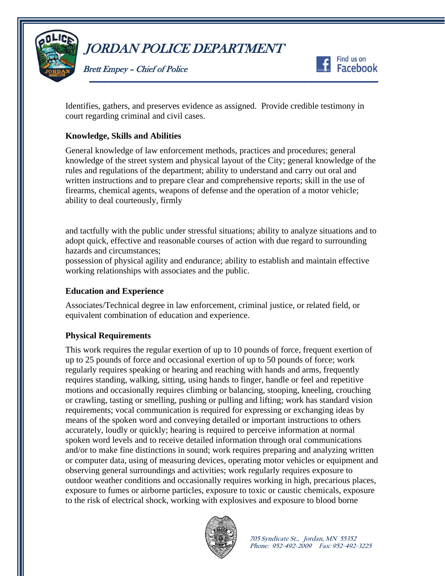

Brett Empey – Chief of Police



Identifies, gathers, and preserves evidence as assigned. Provide credible testimony in court regarding criminal and civil cases.

#### **Knowledge, Skills and Abilities**

General knowledge of law enforcement methods, practices and procedures; general knowledge of the street system and physical layout of the City; general knowledge of the rules and regulations of the department; ability to understand and carry out oral and written instructions and to prepare clear and comprehensive reports; skill in the use of firearms, chemical agents, weapons of defense and the operation of a motor vehicle; ability to deal courteously, firmly

and tactfully with the public under stressful situations; ability to analyze situations and to adopt quick, effective and reasonable courses of action with due regard to surrounding hazards and circumstances;

possession of physical agility and endurance; ability to establish and maintain effective working relationships with associates and the public.

#### **Education and Experience**

Associates/Technical degree in law enforcement, criminal justice, or related field, or equivalent combination of education and experience.

#### **Physical Requirements**

This work requires the regular exertion of up to 10 pounds of force, frequent exertion of up to 25 pounds of force and occasional exertion of up to 50 pounds of force; work regularly requires speaking or hearing and reaching with hands and arms, frequently requires standing, walking, sitting, using hands to finger, handle or feel and repetitive motions and occasionally requires climbing or balancing, stooping, kneeling, crouching or crawling, tasting or smelling, pushing or pulling and lifting; work has standard vision requirements; vocal communication is required for expressing or exchanging ideas by means of the spoken word and conveying detailed or important instructions to others accurately, loudly or quickly; hearing is required to perceive information at normal spoken word levels and to receive detailed information through oral communications and/or to make fine distinctions in sound; work requires preparing and analyzing written or computer data, using of measuring devices, operating motor vehicles or equipment and observing general surroundings and activities; work regularly requires exposure to outdoor weather conditions and occasionally requires working in high, precarious places, exposure to fumes or airborne particles, exposure to toxic or caustic chemicals, exposure to the risk of electrical shock, working with explosives and exposure to blood borne



**705 Syndicate St., Jordan, MN 55352 Phone: 952-492-2009 Fax: 952-492-3225**